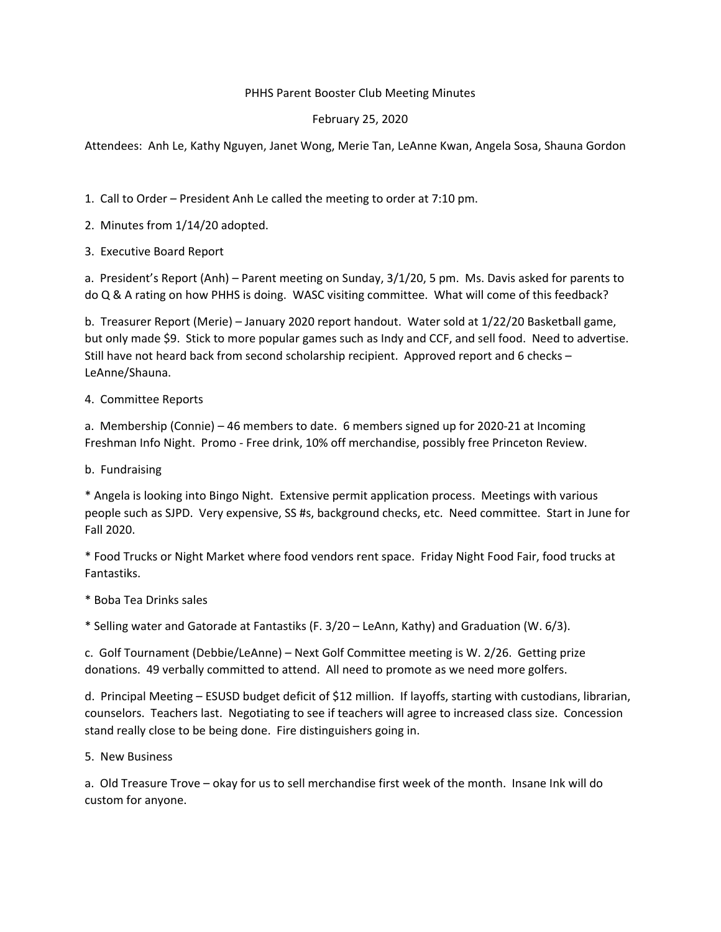## PHHS Parent Booster Club Meeting Minutes

## February 25, 2020

Attendees: Anh Le, Kathy Nguyen, Janet Wong, Merie Tan, LeAnne Kwan, Angela Sosa, Shauna Gordon

1. Call to Order – President Anh Le called the meeting to order at 7:10 pm.

- 2. Minutes from 1/14/20 adopted.
- 3. Executive Board Report

a. President's Report (Anh) – Parent meeting on Sunday, 3/1/20, 5 pm. Ms. Davis asked for parents to do Q & A rating on how PHHS is doing. WASC visiting committee. What will come of this feedback?

b. Treasurer Report (Merie) – January 2020 report handout. Water sold at 1/22/20 Basketball game, but only made \$9. Stick to more popular games such as Indy and CCF, and sell food. Need to advertise. Still have not heard back from second scholarship recipient. Approved report and 6 checks – LeAnne/Shauna.

## 4. Committee Reports

a. Membership (Connie) – 46 members to date. 6 members signed up for 2020‐21 at Incoming Freshman Info Night. Promo ‐ Free drink, 10% off merchandise, possibly free Princeton Review.

b. Fundraising

\* Angela is looking into Bingo Night. Extensive permit application process. Meetings with various people such as SJPD. Very expensive, SS #s, background checks, etc. Need committee. Start in June for Fall 2020.

\* Food Trucks or Night Market where food vendors rent space. Friday Night Food Fair, food trucks at Fantastiks.

\* Boba Tea Drinks sales

\* Selling water and Gatorade at Fantastiks (F. 3/20 – LeAnn, Kathy) and Graduation (W. 6/3).

c. Golf Tournament (Debbie/LeAnne) – Next Golf Committee meeting is W. 2/26. Getting prize donations. 49 verbally committed to attend. All need to promote as we need more golfers.

d. Principal Meeting – ESUSD budget deficit of \$12 million. If layoffs, starting with custodians, librarian, counselors. Teachers last. Negotiating to see if teachers will agree to increased class size. Concession stand really close to be being done. Fire distinguishers going in.

## 5. New Business

a. Old Treasure Trove – okay for us to sell merchandise first week of the month. Insane Ink will do custom for anyone.